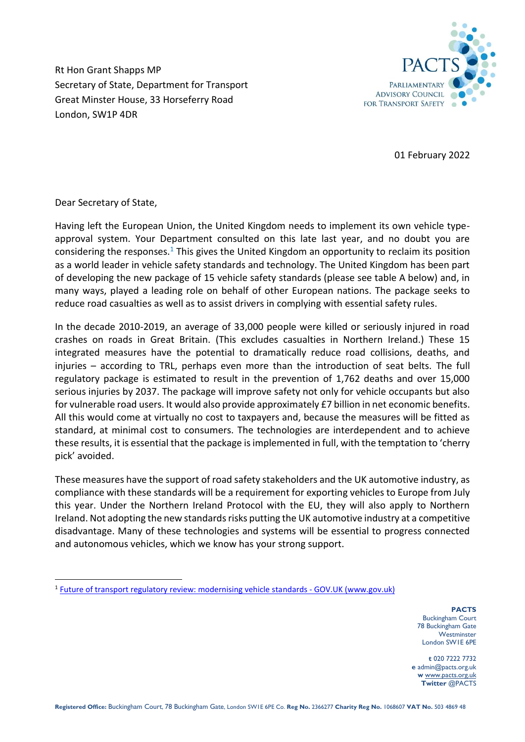

Rt Hon Grant Shapps MP Secretary of State, Department for Transport Great Minster House, 33 Horseferry Road London, SW1P 4DR

01 February 2022

Dear Secretary of State,

Having left the European Union, the United Kingdom needs to implement its own vehicle typeapproval system. Your Department consulted on this late last year, and no doubt you are considering the responses.<sup>1</sup> This gives the United Kingdom an opportunity to reclaim its position as a world leader in vehicle safety standards and technology. The United Kingdom has been part of developing the new package of 15 vehicle safety standards (please see table A below) and, in many ways, played a leading role on behalf of other European nations. The package seeks to reduce road casualties as well as to assist drivers in complying with essential safety rules.

In the decade 2010-2019, an average of 33,000 people were killed or seriously injured in road crashes on roads in Great Britain. (This excludes casualties in Northern Ireland.) These 15 integrated measures have the potential to dramatically reduce road collisions, deaths, and injuries – according to TRL, perhaps even more than the introduction of seat belts. The full regulatory package is estimated to result in the prevention of 1,762 deaths and over 15,000 serious injuries by 2037. The package will improve safety not only for vehicle occupants but also for vulnerable road users. It would also provide approximately £7 billion in net economic benefits. All this would come at virtually no cost to taxpayers and, because the measures will be fitted as standard, at minimal cost to consumers. The technologies are interdependent and to achieve these results, it is essential that the package is implemented in full, with the temptation to 'cherry pick' avoided.

These measures have the support of road safety stakeholders and the UK automotive industry, as compliance with these standards will be a requirement for exporting vehicles to Europe from July this year. Under the Northern Ireland Protocol with the EU, they will also apply to Northern Ireland. Not adopting the new standards risks putting the UK automotive industry at a competitive disadvantage. Many of these technologies and systems will be essential to progress connected and autonomous vehicles, which we know has your strong support.

**PACTS** Buckingham Court 78 Buckingham Gate **Westminster** London SW1E 6PE

**t** 020 7222 7732 **e** admin@pacts.org.uk **w** [www.pacts.org.uk](http://www.pacts.org.uk/) **Twitter** @PACTS

<sup>&</sup>lt;sup>1</sup> [Future of transport regulatory review: modernising vehicle standards -](https://www.gov.uk/government/consultations/future-of-transport-regulatory-review-modernising-vehicle-standards/future-of-transport-regulatory-review-modernising-vehicle-standards) GOV.UK (www.gov.uk)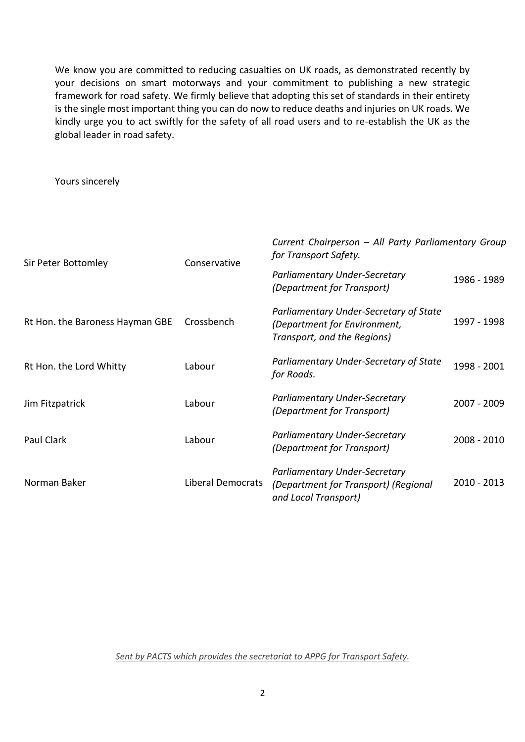We know you are committed to reducing casualties on UK roads, as demonstrated recently by your decisions on smart motorways and your commitment to publishing a new strategic framework for road safety. We firmly believe that adopting this set of standards in their entirety is the single most important thing you can do now to reduce deaths and injuries on UK roads. We kindly urge you to act swiftly for the safety of all road users and to re-establish the UK as the global leader in road safety.

Yours sincerely

| Sir Peter Bottomley             | Conservative             | Current Chairperson - All Party Parliamentary Group<br>for Transport Safety.                          |               |
|---------------------------------|--------------------------|-------------------------------------------------------------------------------------------------------|---------------|
|                                 |                          | Parliamentary Under-Secretary<br>(Department for Transport)                                           | 1986 - 1989   |
| Rt Hon. the Baroness Hayman GBE | Crossbench               | Parliamentary Under-Secretary of State<br>(Department for Environment,<br>Transport, and the Regions) | 1997 - 1998   |
| Rt Hon. the Lord Whitty         | Labour                   | Parliamentary Under-Secretary of State<br>for Roads.                                                  | 1998 - 2001   |
| Jim Fitzpatrick                 | Labour                   | Parliamentary Under-Secretary<br>(Department for Transport)                                           | 2007 - 2009   |
| Paul Clark                      | Labour                   | Parliamentary Under-Secretary<br>(Department for Transport)                                           | $2008 - 2010$ |
| Norman Baker                    | <b>Liberal Democrats</b> | Parliamentary Under-Secretary<br>(Department for Transport) (Regional<br>and Local Transport)         | 2010 - 2013   |

*Sent by PACTS which provides the secretariat to APPG for Transport Safety.*